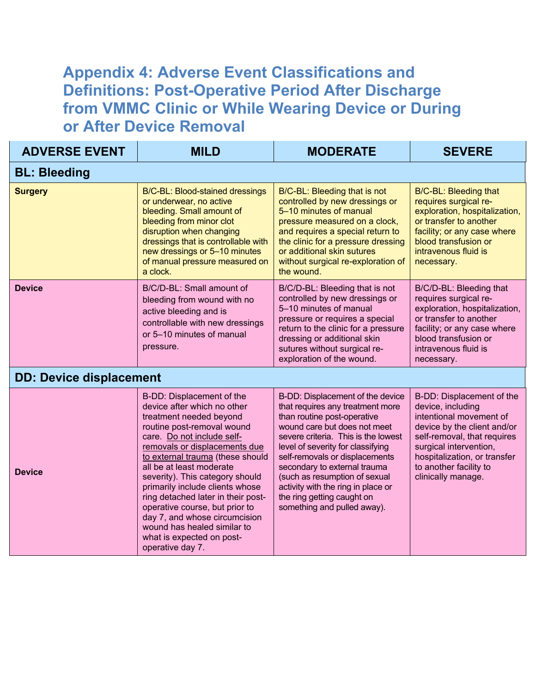## **Appendix 4: Adverse Event Classifications and Definitions: Post-Operative Period After Discharge from VMMC Clinic or While Wearing Device or During or After Device Removal**

| <b>ADVERSE EVENT</b>           | <b>MILD</b>                                                                                                                                                                                                                                                                                                                                                                                                                                                                                                     | <b>MODERATE</b>                                                                                                                                                                                                                                                                                                                                                                                                       | <b>SEVERE</b>                                                                                                                                                                                                                                     |
|--------------------------------|-----------------------------------------------------------------------------------------------------------------------------------------------------------------------------------------------------------------------------------------------------------------------------------------------------------------------------------------------------------------------------------------------------------------------------------------------------------------------------------------------------------------|-----------------------------------------------------------------------------------------------------------------------------------------------------------------------------------------------------------------------------------------------------------------------------------------------------------------------------------------------------------------------------------------------------------------------|---------------------------------------------------------------------------------------------------------------------------------------------------------------------------------------------------------------------------------------------------|
| <b>BL: Bleeding</b>            |                                                                                                                                                                                                                                                                                                                                                                                                                                                                                                                 |                                                                                                                                                                                                                                                                                                                                                                                                                       |                                                                                                                                                                                                                                                   |
| <b>Surgery</b>                 | B/C-BL: Blood-stained dressings<br>or underwear, no active<br>bleeding. Small amount of<br>bleeding from minor clot<br>disruption when changing<br>dressings that is controllable with<br>new dressings or 5-10 minutes<br>of manual pressure measured on<br>a clock.                                                                                                                                                                                                                                           | B/C-BL: Bleeding that is not<br>controlled by new dressings or<br>5-10 minutes of manual<br>pressure measured on a clock,<br>and requires a special return to<br>the clinic for a pressure dressing<br>or additional skin sutures<br>without surgical re-exploration of<br>the wound.                                                                                                                                 | <b>B/C-BL: Bleeding that</b><br>requires surgical re-<br>exploration, hospitalization,<br>or transfer to another<br>facility; or any case where<br>blood transfusion or<br>intravenous fluid is<br>necessary.                                     |
| <b>Device</b>                  | B/C/D-BL: Small amount of<br>bleeding from wound with no<br>active bleeding and is<br>controllable with new dressings<br>or 5-10 minutes of manual<br>pressure.                                                                                                                                                                                                                                                                                                                                                 | B/C/D-BL: Bleeding that is not<br>controlled by new dressings or<br>5-10 minutes of manual<br>pressure or requires a special<br>return to the clinic for a pressure<br>dressing or additional skin<br>sutures without surgical re-<br>exploration of the wound.                                                                                                                                                       | B/C/D-BL: Bleeding that<br>requires surgical re-<br>exploration, hospitalization,<br>or transfer to another<br>facility; or any case where<br>blood transfusion or<br>intravenous fluid is<br>necessary.                                          |
| <b>DD: Device displacement</b> |                                                                                                                                                                                                                                                                                                                                                                                                                                                                                                                 |                                                                                                                                                                                                                                                                                                                                                                                                                       |                                                                                                                                                                                                                                                   |
| <b>Device</b>                  | B-DD: Displacement of the<br>device after which no other<br>treatment needed beyond<br>routine post-removal wound<br>care. Do not include self-<br>removals or displacements due<br>to external trauma (these should<br>all be at least moderate<br>severity). This category should<br>primarily include clients whose<br>ring detached later in their post-<br>operative course, but prior to<br>day 7, and whose circumcision<br>wound has healed similar to<br>what is expected on post-<br>operative day 7. | B-DD: Displacement of the device<br>that requires any treatment more<br>than routine post-operative<br>wound care but does not meet<br>severe criteria. This is the lowest<br>level of severity for classifying<br>self-removals or displacements<br>secondary to external trauma<br>(such as resumption of sexual<br>activity with the ring in place or<br>the ring getting caught on<br>something and pulled away). | B-DD: Displacement of the<br>device, including<br>intentional movement of<br>device by the client and/or<br>self-removal, that requires<br>surgical intervention,<br>hospitalization, or transfer<br>to another facility to<br>clinically manage. |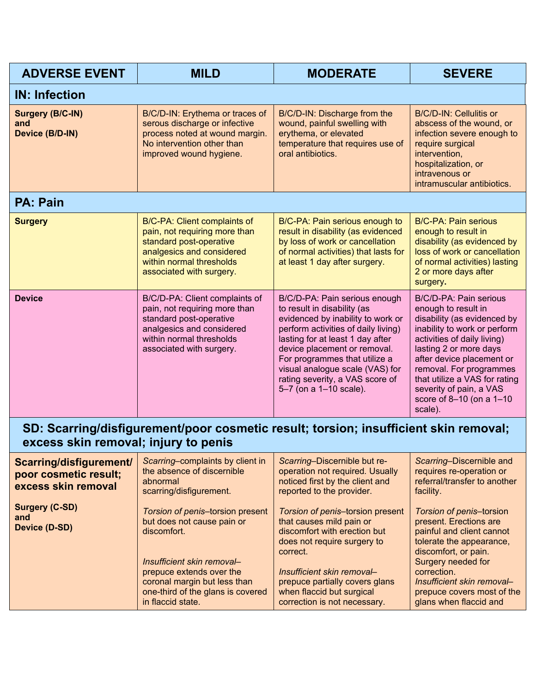| <b>ADVERSE EVENT</b>                              | <b>MILD</b>                                                                                                                                                                     | <b>MODERATE</b>                                                                                                                                                                                                                                                                                                                               | <b>SEVERE</b>                                                                                                                                                                                                                                                                                                                    |
|---------------------------------------------------|---------------------------------------------------------------------------------------------------------------------------------------------------------------------------------|-----------------------------------------------------------------------------------------------------------------------------------------------------------------------------------------------------------------------------------------------------------------------------------------------------------------------------------------------|----------------------------------------------------------------------------------------------------------------------------------------------------------------------------------------------------------------------------------------------------------------------------------------------------------------------------------|
| <b>IN: Infection</b>                              |                                                                                                                                                                                 |                                                                                                                                                                                                                                                                                                                                               |                                                                                                                                                                                                                                                                                                                                  |
| <b>Surgery (B/C-IN)</b><br>and<br>Device (B/D-IN) | B/C/D-IN: Erythema or traces of<br>serous discharge or infective<br>process noted at wound margin.<br>No intervention other than<br>improved wound hygiene.                     | B/C/D-IN: Discharge from the<br>wound, painful swelling with<br>erythema, or elevated<br>temperature that requires use of<br>oral antibiotics.                                                                                                                                                                                                | B/C/D-IN: Cellulitis or<br>abscess of the wound, or<br>infection severe enough to<br>require surgical<br>intervention,<br>hospitalization, or<br>intravenous or<br>intramuscular antibiotics.                                                                                                                                    |
| <b>PA: Pain</b>                                   |                                                                                                                                                                                 |                                                                                                                                                                                                                                                                                                                                               |                                                                                                                                                                                                                                                                                                                                  |
| <b>Surgery</b>                                    | B/C-PA: Client complaints of<br>pain, not requiring more than<br>standard post-operative<br>analgesics and considered<br>within normal thresholds<br>associated with surgery.   | B/C-PA: Pain serious enough to<br>result in disability (as evidenced<br>by loss of work or cancellation<br>of normal activities) that lasts for<br>at least 1 day after surgery.                                                                                                                                                              | <b>B/C-PA: Pain serious</b><br>enough to result in<br>disability (as evidenced by<br>loss of work or cancellation<br>of normal activities) lasting<br>2 or more days after<br>surgery.                                                                                                                                           |
| <b>Device</b>                                     | B/C/D-PA: Client complaints of<br>pain, not requiring more than<br>standard post-operative<br>analgesics and considered<br>within normal thresholds<br>associated with surgery. | B/C/D-PA: Pain serious enough<br>to result in disability (as<br>evidenced by inability to work or<br>perform activities of daily living)<br>lasting for at least 1 day after<br>device placement or removal.<br>For programmes that utilize a<br>visual analogue scale (VAS) for<br>rating severity, a VAS score of<br>5-7 (on a 1-10 scale). | B/C/D-PA: Pain serious<br>enough to result in<br>disability (as evidenced by<br>inability to work or perform<br>activities of daily living)<br>lasting 2 or more days<br>after device placement or<br>removal. For programmes<br>that utilize a VAS for rating<br>severity of pain, a VAS<br>score of 8-10 (on a 1-10<br>scale). |

## **SD: Scarring/disfigurement/poor cosmetic result; torsion; insufficient skin removal; excess skin removal; injury to penis**

| Scarring/disfigurement/<br>poor cosmetic result;<br>excess skin removal | Scarring-complaints by client in<br>the absence of discernible<br>abnormal<br>scarring/disfigurement.                                                                                                                             | Scarring-Discernible but re-<br>operation not required. Usually<br>noticed first by the client and<br>reported to the provider.                                                                                                                                      | Scarring-Discernible and<br>requires re-operation or<br>referral/transfer to another<br>facility.                                                                                                                                                                     |
|-------------------------------------------------------------------------|-----------------------------------------------------------------------------------------------------------------------------------------------------------------------------------------------------------------------------------|----------------------------------------------------------------------------------------------------------------------------------------------------------------------------------------------------------------------------------------------------------------------|-----------------------------------------------------------------------------------------------------------------------------------------------------------------------------------------------------------------------------------------------------------------------|
| <b>Surgery (C-SD)</b><br>and<br>Device (D-SD)                           | Torsion of penis-torsion present<br>but does not cause pain or<br>discomfort.<br>Insufficient skin removal-<br>prepuce extends over the<br>coronal margin but less than<br>one-third of the glans is covered<br>in flaccid state. | Torsion of penis-torsion present<br>that causes mild pain or<br>discomfort with erection but<br>does not require surgery to<br>correct.<br>Insufficient skin removal-<br>prepuce partially covers glans<br>when flaccid but surgical<br>correction is not necessary. | <b>Torsion of penis-torsion</b><br>present. Erections are<br>painful and client cannot<br>tolerate the appearance,<br>discomfort, or pain.<br>Surgery needed for<br>correction.<br>Insufficient skin removal-<br>prepuce covers most of the<br>glans when flaccid and |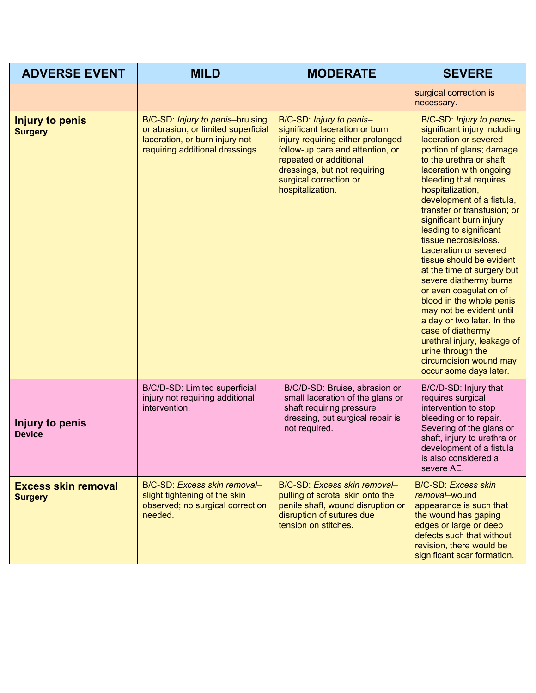| <b>ADVERSE EVENT</b>                         | <b>MILD</b>                                                                                                                                  | <b>MODERATE</b>                                                                                                                                                                                                                             | <b>SEVERE</b>                                                                                                                                                                                                                                                                                                                                                                                                                                                                                                                                                                                                                                                                                                                |
|----------------------------------------------|----------------------------------------------------------------------------------------------------------------------------------------------|---------------------------------------------------------------------------------------------------------------------------------------------------------------------------------------------------------------------------------------------|------------------------------------------------------------------------------------------------------------------------------------------------------------------------------------------------------------------------------------------------------------------------------------------------------------------------------------------------------------------------------------------------------------------------------------------------------------------------------------------------------------------------------------------------------------------------------------------------------------------------------------------------------------------------------------------------------------------------------|
|                                              |                                                                                                                                              |                                                                                                                                                                                                                                             | surgical correction is<br>necessary.                                                                                                                                                                                                                                                                                                                                                                                                                                                                                                                                                                                                                                                                                         |
| <b>Injury to penis</b><br><b>Surgery</b>     | B/C-SD: Injury to penis-bruising<br>or abrasion, or limited superficial<br>laceration, or burn injury not<br>requiring additional dressings. | B/C-SD: Injury to penis-<br>significant laceration or burn<br>injury requiring either prolonged<br>follow-up care and attention, or<br>repeated or additional<br>dressings, but not requiring<br>surgical correction or<br>hospitalization. | B/C-SD: Injury to penis-<br>significant injury including<br>laceration or severed<br>portion of glans; damage<br>to the urethra or shaft<br>laceration with ongoing<br>bleeding that requires<br>hospitalization,<br>development of a fistula,<br>transfer or transfusion; or<br>significant burn injury<br>leading to significant<br>tissue necrosis/loss.<br><b>Laceration or severed</b><br>tissue should be evident<br>at the time of surgery but<br>severe diathermy burns<br>or even coagulation of<br>blood in the whole penis<br>may not be evident until<br>a day or two later. In the<br>case of diathermy<br>urethral injury, leakage of<br>urine through the<br>circumcision wound may<br>occur some days later. |
| Injury to penis<br><b>Device</b>             | B/C/D-SD: Limited superficial<br>injury not requiring additional<br>intervention.                                                            | B/C/D-SD: Bruise, abrasion or<br>small laceration of the glans or<br>shaft requiring pressure<br>dressing, but surgical repair is<br>not required.                                                                                          | B/C/D-SD: Injury that<br>requires surgical<br>intervention to stop<br>bleeding or to repair.<br>Severing of the glans or<br>shaft, injury to urethra or<br>development of a fistula<br>is also considered a<br>severe AE.                                                                                                                                                                                                                                                                                                                                                                                                                                                                                                    |
| <b>Excess skin removal</b><br><b>Surgery</b> | B/C-SD: Excess skin removal-<br>slight tightening of the skin<br>observed; no surgical correction<br>needed.                                 | B/C-SD: Excess skin removal-<br>pulling of scrotal skin onto the<br>penile shaft, wound disruption or<br>disruption of sutures due<br>tension on stitches.                                                                                  | <b>B/C-SD: Excess skin</b><br>removal-wound<br>appearance is such that<br>the wound has gaping<br>edges or large or deep<br>defects such that without<br>revision, there would be<br>significant scar formation.                                                                                                                                                                                                                                                                                                                                                                                                                                                                                                             |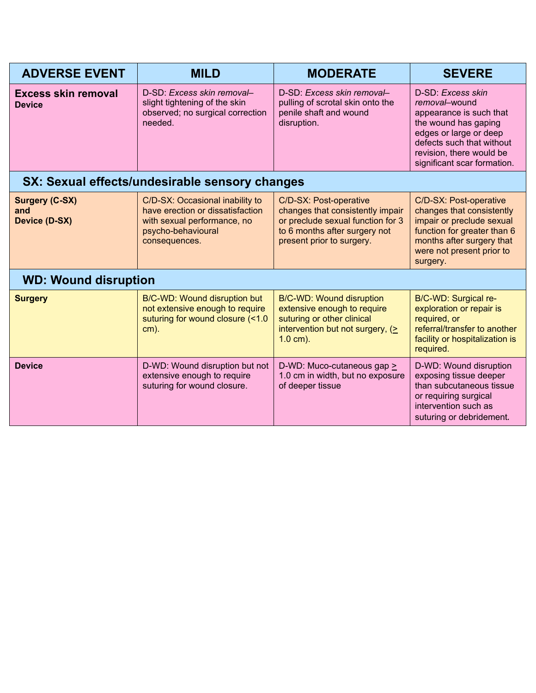| <b>ADVERSE EVENT</b>                                 | <b>MILD</b>                                                                                                                               | <b>MODERATE</b>                                                                                                                                               | <b>SEVERE</b>                                                                                                                                                                                           |
|------------------------------------------------------|-------------------------------------------------------------------------------------------------------------------------------------------|---------------------------------------------------------------------------------------------------------------------------------------------------------------|---------------------------------------------------------------------------------------------------------------------------------------------------------------------------------------------------------|
| <b>Excess skin removal</b><br><b>Device</b>          | D-SD: Excess skin removal-<br>slight tightening of the skin<br>observed; no surgical correction<br>needed.                                | D-SD: Excess skin removal-<br>pulling of scrotal skin onto the<br>penile shaft and wound<br>disruption.                                                       | D-SD: Excess skin<br>removal-wound<br>appearance is such that<br>the wound has gaping<br>edges or large or deep<br>defects such that without<br>revision, there would be<br>significant scar formation. |
| SX: Sexual effects/undesirable sensory changes       |                                                                                                                                           |                                                                                                                                                               |                                                                                                                                                                                                         |
| <b>Surgery (C-SX)</b><br>and<br><b>Device (D-SX)</b> | C/D-SX: Occasional inability to<br>have erection or dissatisfaction<br>with sexual performance, no<br>psycho-behavioural<br>consequences. | C/D-SX: Post-operative<br>changes that consistently impair<br>or preclude sexual function for 3<br>to 6 months after surgery not<br>present prior to surgery. | C/D-SX: Post-operative<br>changes that consistently<br>impair or preclude sexual<br>function for greater than 6<br>months after surgery that<br>were not present prior to<br>surgery.                   |
| <b>WD: Wound disruption</b>                          |                                                                                                                                           |                                                                                                                                                               |                                                                                                                                                                                                         |
| <b>Surgery</b>                                       | B/C-WD: Wound disruption but<br>not extensive enough to require<br>suturing for wound closure (<1.0<br>$cm)$ .                            | B/C-WD: Wound disruption<br>extensive enough to require<br>suturing or other clinical<br>intervention but not surgery, (><br>$1.0 \text{ cm}$ ).              | B/C-WD: Surgical re-<br>exploration or repair is<br>required, or<br>referral/transfer to another<br>facility or hospitalization is<br>required.                                                         |
| <b>Device</b>                                        | D-WD: Wound disruption but not<br>extensive enough to require<br>suturing for wound closure.                                              | D-WD: Muco-cutaneous gap ><br>1.0 cm in width, but no exposure<br>of deeper tissue                                                                            | D-WD: Wound disruption<br>exposing tissue deeper<br>than subcutaneous tissue<br>or requiring surgical<br>intervention such as<br>suturing or debridement.                                               |